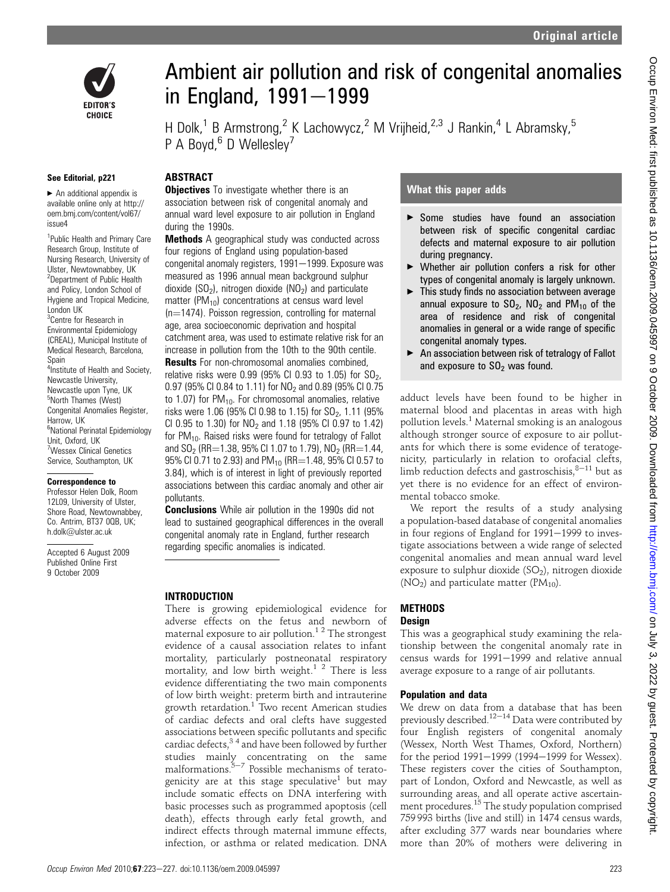

Ambient air pollution and risk of congenital anomalies in England,  $1991 - 1999$ 

H Dolk,<sup>1</sup> B Armstrong,<sup>2</sup> K Lachowycz,<sup>2</sup> M Vrijheid,<sup>2,3</sup> J Rankin,<sup>4</sup> L Abramsky,<sup>5</sup> P A Boyd, $6$  D Wellesley<sup>7</sup>

## See Editorial, p221

 $\blacktriangleright$  An additional appendix is available online only at http:// oem.bmj.com/content/vol67/ issue4

CHOICE

<sup>1</sup>Public Health and Primary Care Research Group, Institute of Nursing Research, University of Ulster, Newtownabbey, UK <sup>2</sup>Department of Public Health and Policy, London School of Hygiene and Tropical Medicine, London UK <sup>3</sup> Centre for Research in Environmental Epidemiology (CREAL), Municipal Institute of Medical Research, Barcelona, Spain 4 Institute of Health and Society, Newcastle University, Newcastle upon Tyne, UK 5 North Thames (West) Congenital Anomalies Register, Harrow, UK <sup>6</sup>National Perinatal Epidemiology Unit, Oxford, UK

7 Wessex Clinical Genetics Service, Southampton, UK

#### Correspondence to

Professor Helen Dolk, Room 12L09, University of Ulster, Shore Road, Newtownabbey, Co. Antrim, BT37 0QB, UK; h.dolk@ulster.ac.uk

Accepted 6 August 2009 Published Online First 9 October 2009

## **ABSTRACT**

**Objectives** To investigate whether there is an association between risk of congenital anomaly and annual ward level exposure to air pollution in England during the 1990s.

**Methods** A geographical study was conducted across four regions of England using population-based congenital anomaly registers, 1991-1999. Exposure was measured as 1996 annual mean background sulphur dioxide (SO<sub>2</sub>), nitrogen dioxide (NO<sub>2</sub>) and particulate matter ( $PM_{10}$ ) concentrations at census ward level  $(n=1474)$ . Poisson regression, controlling for maternal age, area socioeconomic deprivation and hospital catchment area, was used to estimate relative risk for an increase in pollution from the 10th to the 90th centile. **Results** For non-chromosomal anomalies combined, relative risks were  $0.99$  (95% CI 0.93 to 1.05) for  $SO<sub>2</sub>$ , 0.97 (95% CI 0.84 to 1.11) for  $NO<sub>2</sub>$  and 0.89 (95% CI 0.75 to 1.07) for  $PM_{10}$ . For chromosomal anomalies, relative risks were 1.06 (95% CI 0.98 to 1.15) for  $SO_2$ , 1.11 (95% CI 0.95 to 1.30) for  $NO<sub>2</sub>$  and 1.18 (95% CI 0.97 to 1.42) for  $PM_{10}$ . Raised risks were found for tetralogy of Fallot and  $SO_2$  (RR=1.38, 95% CI 1.07 to 1.79), NO<sub>2</sub> (RR=1.44, 95% CI 0.71 to 2.93) and PM<sub>10</sub> (RR=1.48, 95% CI 0.57 to 3.84), which is of interest in light of previously reported associations between this cardiac anomaly and other air pollutants.

**Conclusions** While air pollution in the 1990s did not lead to sustained geographical differences in the overall congenital anomaly rate in England, further research regarding specific anomalies is indicated.

## INTRODUCTION

There is growing epidemiological evidence for adverse effects on the fetus and newborn of maternal exposure to air pollution.<sup>12</sup> The strongest evidence of a causal association relates to infant mortality, particularly postneonatal respiratory mortality, and low birth weight. $1^2$  There is less evidence differentiating the two main components of low birth weight: preterm birth and intrauterine growth retardation.<sup>1</sup> Two recent American studies of cardiac defects and oral clefts have suggested associations between specific pollutants and specific cardiac defects,  $3<sup>4</sup>$  and have been followed by further studies mainly concentrating on the same<br>malformations.<sup>5–7</sup> Possible mechanisms of teratogenicity are at this stage speculative<sup>1</sup> but may include somatic effects on DNA interfering with basic processes such as programmed apoptosis (cell death), effects through early fetal growth, and indirect effects through maternal immune effects, infection, or asthma or related medication. DNA

# What this paper adds

- ▶ Some studies have found an association between risk of specific congenital cardiac defects and maternal exposure to air pollution during pregnancy.
- $\blacktriangleright$  Whether air pollution confers a risk for other types of congenital anomaly is largely unknown.
- $\blacktriangleright$  This study finds no association between average annual exposure to  $SO_2$ ,  $NO_2$  and  $PM_{10}$  of the area of residence and risk of congenital anomalies in general or a wide range of specific congenital anomaly types.
- $\blacktriangleright$  An association between risk of tetralogy of Fallot and exposure to  $SO<sub>2</sub>$  was found.

adduct levels have been found to be higher in maternal blood and placentas in areas with high pollution levels.<sup>1</sup> Maternal smoking is an analogous although stronger source of exposure to air pollutants for which there is some evidence of teratogenicity, particularly in relation to orofacial clefts, limb reduction defects and gastroschisis, $8-11$  but as yet there is no evidence for an effect of environmental tobacco smoke.

We report the results of a study analysing a population-based database of congenital anomalies in four regions of England for 1991-1999 to investigate associations between a wide range of selected congenital anomalies and mean annual ward level exposure to sulphur dioxide  $(SO<sub>2</sub>)$ , nitrogen dioxide  $(NO<sub>2</sub>)$  and particulate matter  $(PM<sub>10</sub>)$ .

## METHODS Design

## This was a geographical study examining the relationship between the congenital anomaly rate in census wards for 1991-1999 and relative annual average exposure to a range of air pollutants.

## Population and data

We drew on data from a database that has been<br>previously described.<sup>12–14</sup> Data were contributed by four English registers of congenital anomaly (Wessex, North West Thames, Oxford, Northern) for the period 1991-1999 (1994-1999 for Wessex). These registers cover the cities of Southampton, part of London, Oxford and Newcastle, as well as surrounding areas, and all operate active ascertainment procedures.15 The study population comprised 759 993 births (live and still) in 1474 census wards, after excluding 377 wards near boundaries where more than 20% of mothers were delivering in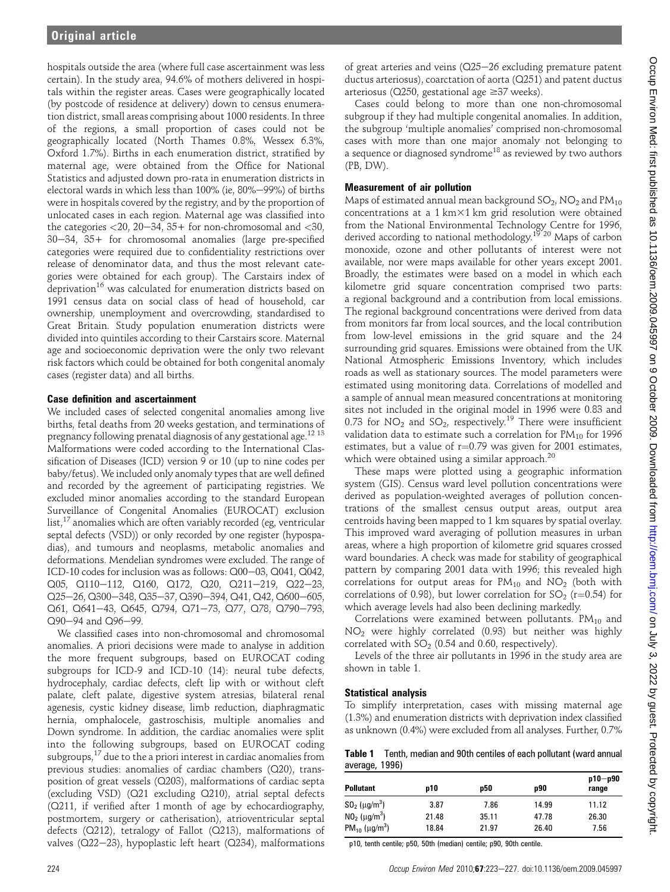hospitals outside the area (where full case ascertainment was less certain). In the study area, 94.6% of mothers delivered in hospitals within the register areas. Cases were geographically located (by postcode of residence at delivery) down to census enumeration district, small areas comprising about 1000 residents. In three of the regions, a small proportion of cases could not be geographically located (North Thames 0.8%, Wessex 6.3%, Oxford 1.7%). Births in each enumeration district, stratified by maternal age, were obtained from the Office for National Statistics and adjusted down pro-rata in enumeration districts in electoral wards in which less than 100% (ie, 80%-99%) of births were in hospitals covered by the registry, and by the proportion of unlocated cases in each region. Maternal age was classified into the categories  $<$  20, 20–34, 35+ for non-chromosomal and  $<$  30,  $30-34$ ,  $35+$  for chromosomal anomalies (large pre-specified categories were required due to confidentiality restrictions over release of denominator data, and thus the most relevant categories were obtained for each group). The Carstairs index of deprivation<sup>16</sup> was calculated for enumeration districts based on 1991 census data on social class of head of household, car ownership, unemployment and overcrowding, standardised to Great Britain. Study population enumeration districts were divided into quintiles according to their Carstairs score. Maternal age and socioeconomic deprivation were the only two relevant risk factors which could be obtained for both congenital anomaly cases (register data) and all births.

## Case definition and ascertainment

We included cases of selected congenital anomalies among live births, fetal deaths from 20 weeks gestation, and terminations of pregnancy following prenatal diagnosis of any gestational age.12 <sup>13</sup> Malformations were coded according to the International Classification of Diseases (ICD) version 9 or 10 (up to nine codes per baby/fetus). We included only anomaly types that are well defined and recorded by the agreement of participating registries. We excluded minor anomalies according to the standard European Surveillance of Congenital Anomalies (EUROCAT) exclusion list, $^{17}$  anomalies which are often variably recorded (eg, ventricular septal defects (VSD)) or only recorded by one register (hypospadias), and tumours and neoplasms, metabolic anomalies and deformations. Mendelian syndromes were excluded. The range of ICD-10 codes for inclusion was as follows: Q00-03, Q041, Q042,  $Q05$ ,  $Q110-112$ ,  $Q160$ ,  $Q172$ ,  $Q20$ ,  $Q211-219$ ,  $Q22-23$ , Q25-26, Q300-348, Q35-37, Q390-394, Q41, Q42, Q600-605, Q61, Q641-43, Q645, Q794, Q71-73, Q77, Q78, Q790-793, Q90-94 and Q96-99.

We classified cases into non-chromosomal and chromosomal anomalies. A priori decisions were made to analyse in addition the more frequent subgroups, based on EUROCAT coding subgroups for ICD-9 and ICD-10 (14): neural tube defects, hydrocephaly, cardiac defects, cleft lip with or without cleft palate, cleft palate, digestive system atresias, bilateral renal agenesis, cystic kidney disease, limb reduction, diaphragmatic hernia, omphalocele, gastroschisis, multiple anomalies and Down syndrome. In addition, the cardiac anomalies were split into the following subgroups, based on EUROCAT coding subgroups, $17$  due to the a priori interest in cardiac anomalies from previous studies: anomalies of cardiac chambers (Q20), transposition of great vessels (Q203), malformations of cardiac septa (excluding VSD) (Q21 excluding Q210), atrial septal defects (Q211, if verified after 1 month of age by echocardiography, postmortem, surgery or catherisation), atrioventricular septal defects (Q212), tetralogy of Fallot (Q213), malformations of valves ( $Q22-23$ ), hypoplastic left heart ( $Q234$ ), malformations of great arteries and veins  $(Q25-26$  excluding premature patent ductus arteriosus), coarctation of aorta (Q251) and patent ductus arteriosus ( $Q250$ , gestational age  $\geq 37$  weeks).

Cases could belong to more than one non-chromosomal subgroup if they had multiple congenital anomalies. In addition, the subgroup 'multiple anomalies' comprised non-chromosomal cases with more than one major anomaly not belonging to a sequence or diagnosed syndrome<sup>18</sup> as reviewed by two authors (PB, DW).

## Measurement of air pollution

Maps of estimated annual mean background  $SO_2$ ,  $NO_2$  and  $PM_{10}$ concentrations at a  $1 \text{ km} \times 1 \text{ km}$  grid resolution were obtained from the National Environmental Technology Centre for 1996, derived according to national methodology.19 <sup>20</sup> Maps of carbon monoxide, ozone and other pollutants of interest were not available, nor were maps available for other years except 2001. Broadly, the estimates were based on a model in which each kilometre grid square concentration comprised two parts: a regional background and a contribution from local emissions. The regional background concentrations were derived from data from monitors far from local sources, and the local contribution from low-level emissions in the grid square and the 24 surrounding grid squares. Emissions were obtained from the UK National Atmospheric Emissions Inventory, which includes roads as well as stationary sources. The model parameters were estimated using monitoring data. Correlations of modelled and a sample of annual mean measured concentrations at monitoring sites not included in the original model in 1996 were 0.83 and 0.73 for  $NO_2$  and  $SO_2$ , respectively.<sup>19</sup> There were insufficient validation data to estimate such a correlation for  $PM_{10}$  for 1996 estimates, but a value of  $r=0.79$  was given for 2001 estimates, which were obtained using a similar approach.<sup>20</sup>

These maps were plotted using a geographic information system (GIS). Census ward level pollution concentrations were derived as population-weighted averages of pollution concentrations of the smallest census output areas, output area centroids having been mapped to 1 km squares by spatial overlay. This improved ward averaging of pollution measures in urban areas, where a high proportion of kilometre grid squares crossed ward boundaries. A check was made for stability of geographical pattern by comparing 2001 data with 1996; this revealed high correlations for output areas for  $PM_{10}$  and  $NO<sub>2</sub>$  (both with correlations of 0.98), but lower correlation for  $SO_2$  (r=0.54) for which average levels had also been declining markedly.

Correlations were examined between pollutants.  $PM_{10}$  and NO2 were highly correlated (0.93) but neither was highly correlated with  $SO_2$  (0.54 and 0.60, respectively).

Levels of the three air pollutants in 1996 in the study area are shown in table 1.

# Statistical analysis

To simplify interpretation, cases with missing maternal age (1.3%) and enumeration districts with deprivation index classified as unknown (0.4%) were excluded from all analyses. Further, 0.7%

Table 1 Tenth, median and 90th centiles of each pollutant (ward annual average, 1996)

| <b>Pollutant</b>                            | D10   | p50   | p90   | $p10-p90$<br>range |
|---------------------------------------------|-------|-------|-------|--------------------|
| $SO_2$ ( $\mu$ g/m <sup>3</sup> )           | 3.87  | 7.86  | 14.99 | 11.12              |
| $N0_2$ ( $\mu$ g/m <sup>3</sup> )           | 21.48 | 35.11 | 47.78 | 26.30              |
| PM <sub>10</sub> ( $\mu$ g/m <sup>3</sup> ) | 18.84 | 21.97 | 26.40 | 7.56               |

p10, tenth centile; p50, 50th (median) centile; p90, 90th centile.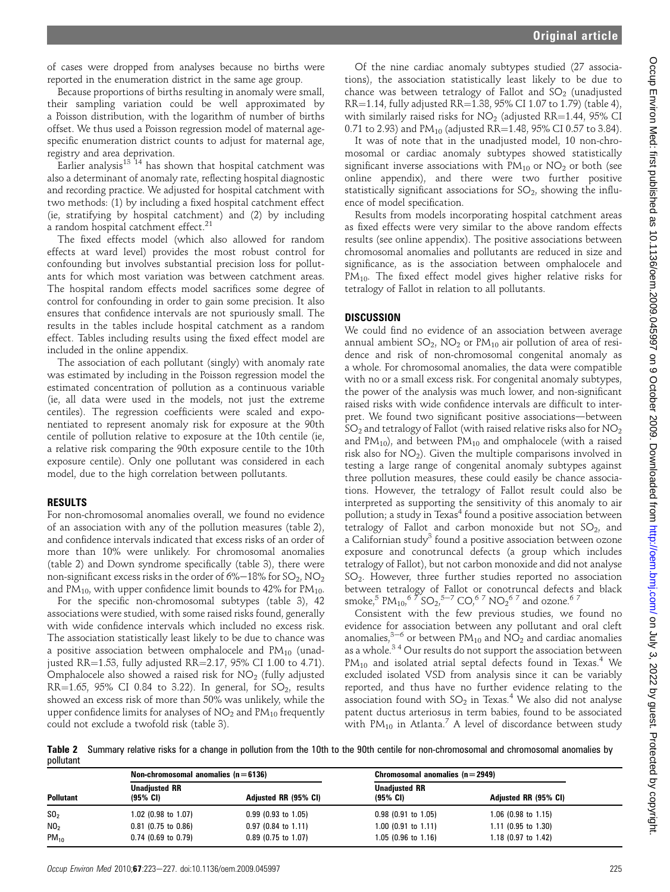of cases were dropped from analyses because no births were reported in the enumeration district in the same age group.

Because proportions of births resulting in anomaly were small, their sampling variation could be well approximated by a Poisson distribution, with the logarithm of number of births offset. We thus used a Poisson regression model of maternal agespecific enumeration district counts to adjust for maternal age, registry and area deprivation.

Earlier analysis<sup>13</sup> <sup>14</sup> has shown that hospital catchment was also a determinant of anomaly rate, reflecting hospital diagnostic and recording practice. We adjusted for hospital catchment with two methods: (1) by including a fixed hospital catchment effect (ie, stratifying by hospital catchment) and (2) by including a random hospital catchment effect.<sup>21</sup>

The fixed effects model (which also allowed for random effects at ward level) provides the most robust control for confounding but involves substantial precision loss for pollutants for which most variation was between catchment areas. The hospital random effects model sacrifices some degree of control for confounding in order to gain some precision. It also ensures that confidence intervals are not spuriously small. The results in the tables include hospital catchment as a random effect. Tables including results using the fixed effect model are included in the online appendix.

The association of each pollutant (singly) with anomaly rate was estimated by including in the Poisson regression model the estimated concentration of pollution as a continuous variable (ie, all data were used in the models, not just the extreme centiles). The regression coefficients were scaled and exponentiated to represent anomaly risk for exposure at the 90th centile of pollution relative to exposure at the 10th centile (ie, a relative risk comparing the 90th exposure centile to the 10th exposure centile). Only one pollutant was considered in each model, due to the high correlation between pollutants.

### RESULTS

For non-chromosomal anomalies overall, we found no evidence of an association with any of the pollution measures (table 2), and confidence intervals indicated that excess risks of an order of more than 10% were unlikely. For chromosomal anomalies (table 2) and Down syndrome specifically (table 3), there were non-significant excess risks in the order of  $6\% - 18\%$  for  $SO_2$ , NO<sub>2</sub> and PM<sub>10</sub>, with upper confidence limit bounds to 42% for PM<sub>10</sub>.

For the specific non-chromosomal subtypes (table 3), 42 associations were studied, with some raised risks found, generally with wide confidence intervals which included no excess risk. The association statistically least likely to be due to chance was a positive association between omphalocele and  $PM_{10}$  (unadjusted RR=1.53, fully adjusted RR=2.17, 95% CI 1.00 to 4.71). Omphalocele also showed a raised risk for  $NO<sub>2</sub>$  (fully adjusted RR=1.65, 95% CI 0.84 to 3.22). In general, for  $SO_2$ , results showed an excess risk of more than 50% was unlikely, while the upper confidence limits for analyses of  $NO<sub>2</sub>$  and  $PM<sub>10</sub>$  frequently could not exclude a twofold risk (table 3).

Of the nine cardiac anomaly subtypes studied (27 associations), the association statistically least likely to be due to chance was between tetralogy of Fallot and  $SO<sub>2</sub>$  (unadjusted  $RR=1.14$ , fully adjusted  $RR=1.38$ , 95% CI 1.07 to 1.79) (table 4), with similarly raised risks for  $NO<sub>2</sub>$  (adjusted RR=1.44, 95% CI 0.71 to 2.93) and  $PM_{10}$  (adjusted RR=1.48, 95% CI 0.57 to 3.84).

It was of note that in the unadjusted model, 10 non-chromosomal or cardiac anomaly subtypes showed statistically significant inverse associations with  $PM_{10}$  or  $NO<sub>2</sub>$  or both (see online appendix), and there were two further positive statistically significant associations for  $SO_2$ , showing the influence of model specification.

Results from models incorporating hospital catchment areas as fixed effects were very similar to the above random effects results (see online appendix). The positive associations between chromosomal anomalies and pollutants are reduced in size and significance, as is the association between omphalocele and  $PM_{10}$ . The fixed effect model gives higher relative risks for tetralogy of Fallot in relation to all pollutants.

## **DISCUSSION**

We could find no evidence of an association between average annual ambient  $SO_2$ ,  $NO_2$  or  $PM_{10}$  air pollution of area of residence and risk of non-chromosomal congenital anomaly as a whole. For chromosomal anomalies, the data were compatible with no or a small excess risk. For congenital anomaly subtypes, the power of the analysis was much lower, and non-significant raised risks with wide confidence intervals are difficult to interpret. We found two significant positive associations-between  $SO<sub>2</sub>$  and tetralogy of Fallot (with raised relative risks also for  $NO<sub>2</sub>$ and  $PM_{10}$ ), and between  $PM_{10}$  and omphalocele (with a raised risk also for  $NO<sub>2</sub>$ ). Given the multiple comparisons involved in testing a large range of congenital anomaly subtypes against three pollution measures, these could easily be chance associations. However, the tetralogy of Fallot result could also be interpreted as supporting the sensitivity of this anomaly to air pollution; a study in Texas<sup>4</sup> found a positive association between tetralogy of Fallot and carbon monoxide but not  $SO_2$ , and a Californian study<sup>3</sup> found a positive association between ozone exposure and conotruncal defects (a group which includes tetralogy of Fallot), but not carbon monoxide and did not analyse SO2. However, three further studies reported no association between tetralogy of Fallot or conotruncal defects and black smoke,<sup>5</sup> PM<sub>10</sub>,<sup>6</sup>  $^{9}$  SO<sub>2</sub>,<sup>5–7</sup> CO<sub>1</sub><sup>6</sup> 7 NO<sub>2</sub><sup>6</sup><sup>7</sup> and ozone.<sup>6</sup><sup>7</sup>

Consistent with the few previous studies, we found no evidence for association between any pollutant and oral cleft anomalies,<sup>3-6</sup> or between PM<sub>10</sub> and NO<sub>2</sub> and cardiac anomalies as a whole.<sup>34</sup> Our results do not support the association between  $PM_{10}$  and isolated atrial septal defects found in Texas.<sup>4</sup> We excluded isolated VSD from analysis since it can be variably reported, and thus have no further evidence relating to the association found with  $SO_2$  in Texas.<sup>4</sup> We also did not analyse patent ductus arteriosus in term babies, found to be associated with  $PM_{10}$  in Atlanta.<sup>7</sup> A level of discordance between study

Table 2 Summary relative risks for a change in pollution from the 10th to the 90th centile for non-chromosomal and chromosomal anomalies by pollutant

| <b>Pollutant</b> |                                             | Non-chromosomal anomalies $(n=6136)$ |                                               | Chromosomal anomalies $(n=2949)$ |  |
|------------------|---------------------------------------------|--------------------------------------|-----------------------------------------------|----------------------------------|--|
|                  | <b>Unadjusted RR</b><br>$(95\% \text{ Cl})$ | Adjusted RR (95% CI)                 | <b>Unadjusted RR</b><br>$(95\% \; \text{Cl})$ | Adjusted RR (95% CI)             |  |
| SO <sub>2</sub>  | $1.02$ (0.98 to 1.07)                       | $0.99$ (0.93 to 1.05)                | $0.98$ (0.91 to 1.05)                         | $1.06$ (0.98 to 1.15)            |  |
| NO <sub>2</sub>  | $0.81$ (0.75 to 0.86)                       | $0.97$ (0.84 to 1.11)                | 1.00 (0.91 to 1.11)                           | $1.11$ (0.95 to 1.30)            |  |
| $PM_{10}$        | $0.74$ (0.69 to 0.79)                       | $0.89$ (0.75 to 1.07)                | $1.05$ (0.96 to 1.16)                         | 1.18 $(0.97 \text{ to } 1.42)$   |  |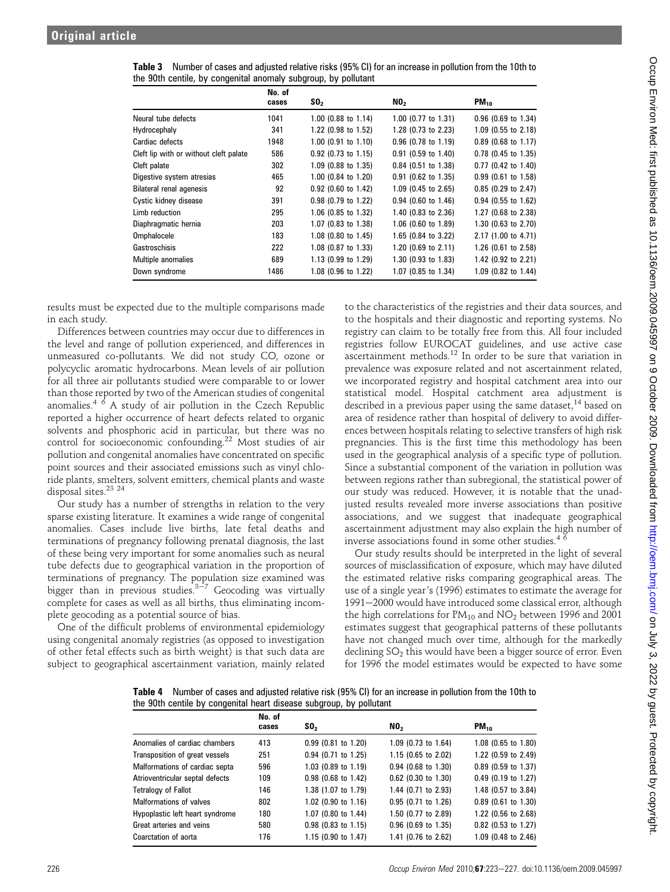|                                        | No. of<br>cases | SO <sub>2</sub>          | NO <sub>2</sub>       | $PM_{10}$             |
|----------------------------------------|-----------------|--------------------------|-----------------------|-----------------------|
| Neural tube defects                    | 1041            | $1.00$ (0.88 to 1.14)    | 1.00 (0.77 to 1.31)   | $0.96$ (0.69 to 1.34) |
| Hydrocephaly                           | 341             | 1.22 (0.98 to 1.52)      | 1.28 (0.73 to 2.23)   | 1.09 (0.55 to 2.18)   |
| Cardiac defects                        | 1948            | $1.00$ (0.91 to 1.10)    | $0.96$ (0.78 to 1.19) | $0.89$ (0.68 to 1.17) |
| Cleft lip with or without cleft palate | 586             | $0.92$ (0.73 to 1.15)    | $0.91$ (0.59 to 1.40) | $0.78$ (0.45 to 1.35) |
| Cleft palate                           | 302             | 1.09 (0.88 to 1.35)      | 0.84 (0.51 to 1.38)   | 0.77 (0.42 to 1.40)   |
| Digestive system atresias              | 465             | 1.00 (0.84 to 1.20)      | $0.91$ (0.62 to 1.35) | $0.99$ (0.61 to 1.58) |
| <b>Bilateral renal agenesis</b>        | 92              | $0.92$ (0.60 to 1.42)    | 1.09 (0.45 to 2.65)   | $0.85$ (0.29 to 2.47) |
| Cystic kidney disease                  | 391             | 0.98 (0.79 to 1.22)      | $0.94$ (0.60 to 1.46) | 0.94 (0.55 to 1.62)   |
| Limb reduction                         | 295             | 1.06 (0.85 to 1.32)      | 1.40 (0.83 to 2.36)   | 1.27 (0.68 to 2.38)   |
| Diaphragmatic hernia                   | 203             | 1.07 (0.83 to 1.38)      | 1.06 (0.60 to 1.89)   | 1.30 (0.63 to 2.70)   |
| Omphalocele                            | 183             | $1.08$ (0.80 to $1.45$ ) | 1.65 (0.84 to 3.22)   | 2.17 (1.00 to 4.71)   |
| Gastroschisis                          | 222             | 1.08 (0.87 to 1.33)      | 1.20 (0.69 to 2.11)   | 1.26 (0.61 to 2.58)   |
| Multiple anomalies                     | 689             | 1.13 $(0.99$ to 1.29)    | 1.30 (0.93 to 1.83)   | 1.42 (0.92 to 2.21)   |
| Down syndrome                          | 1486            | 1.08 (0.96 to 1.22)      | 1.07 (0.85 to 1.34)   | 1.09 (0.82 to 1.44)   |

Table 3 Number of cases and adjusted relative risks (95% CI) for an increase in pollution from the 10th to the 90th centile, by congenital anomaly subgroup, by pollutant

results must be expected due to the multiple comparisons made in each study.

Differences between countries may occur due to differences in the level and range of pollution experienced, and differences in unmeasured co-pollutants. We did not study CO, ozone or polycyclic aromatic hydrocarbons. Mean levels of air pollution for all three air pollutants studied were comparable to or lower than those reported by two of the American studies of congenital anomalies. $4/6$  A study of air pollution in the Czech Republic reported a higher occurrence of heart defects related to organic solvents and phosphoric acid in particular, but there was no control for socioeconomic confounding.<sup>22</sup> Most studies of air pollution and congenital anomalies have concentrated on specific point sources and their associated emissions such as vinyl chloride plants, smelters, solvent emitters, chemical plants and waste disposal sites.<sup>23</sup> <sup>24</sup>

Our study has a number of strengths in relation to the very sparse existing literature. It examines a wide range of congenital anomalies. Cases include live births, late fetal deaths and terminations of pregnancy following prenatal diagnosis, the last of these being very important for some anomalies such as neural tube defects due to geographical variation in the proportion of terminations of pregnancy. The population size examined was bigger than in previous studies. $3\frac{3}{7}$  Geocoding was virtually complete for cases as well as all births, thus eliminating incomplete geocoding as a potential source of bias.

One of the difficult problems of environmental epidemiology using congenital anomaly registries (as opposed to investigation of other fetal effects such as birth weight) is that such data are subject to geographical ascertainment variation, mainly related to the characteristics of the registries and their data sources, and to the hospitals and their diagnostic and reporting systems. No registry can claim to be totally free from this. All four included registries follow EUROCAT guidelines, and use active case ascertainment methods.12 In order to be sure that variation in prevalence was exposure related and not ascertainment related, we incorporated registry and hospital catchment area into our statistical model. Hospital catchment area adjustment is described in a previous paper using the same dataset,<sup>14</sup> based on area of residence rather than hospital of delivery to avoid differences between hospitals relating to selective transfers of high risk pregnancies. This is the first time this methodology has been used in the geographical analysis of a specific type of pollution. Since a substantial component of the variation in pollution was between regions rather than subregional, the statistical power of our study was reduced. However, it is notable that the unadjusted results revealed more inverse associations than positive associations, and we suggest that inadequate geographical ascertainment adjustment may also explain the high number of inverse associations found in some other studies.<sup>4</sup>  $\delta$ 

Our study results should be interpreted in the light of several sources of misclassification of exposure, which may have diluted the estimated relative risks comparing geographical areas. The use of a single year's (1996) estimates to estimate the average for 1991–2000 would have introduced some classical error, although the high correlations for  $PM_{10}$  and  $NO<sub>2</sub>$  between 1996 and 2001 estimates suggest that geographical patterns of these pollutants have not changed much over time, although for the markedly declining SO<sub>2</sub> this would have been a bigger source of error. Even for 1996 the model estimates would be expected to have some

Table 4 Number of cases and adjusted relative risk (95% CI) for an increase in pollution from the 10th to the 90th centile by congenital heart disease subgroup, by pollutant

|                                 | No. of<br>cases | SO <sub>2</sub>       | NO <sub>2</sub>       | $PM_{10}$             |
|---------------------------------|-----------------|-----------------------|-----------------------|-----------------------|
| Anomalies of cardiac chambers   | 413             | $0.99$ (0.81 to 1.20) | 1.09 (0.73 to 1.64)   | 1.08 (0.65 to 1.80)   |
| Transposition of great vessels  | 251             | $0.94$ (0.71 to 1.25) | 1.15 (0.65 to 2.02)   | 1.22 (0.59 to 2.49)   |
| Malformations of cardiac septa  | 596             | 1.03 (0.89 to 1.19)   | $0.94$ (0.68 to 1.30) | $0.89$ (0.59 to 1.37) |
| Atrioventricular septal defects | 109             | $0.98$ (0.68 to 1.42) | $0.62$ (0.30 to 1.30) | $0.49$ (0.19 to 1.27) |
| <b>Tetralogy of Fallot</b>      | 146             | 1.38 (1.07 to 1.79)   | 1.44 (0.71 to 2.93)   | 1.48 (0.57 to 3.84)   |
| Malformations of valves         | 802             | 1.02 (0.90 to 1.16)   | $0.95$ (0.71 to 1.26) | $0.89$ (0.61 to 1.30) |
| Hypoplastic left heart syndrome | 180             | 1.07 (0.80 to 1.44)   | 1.50 (0.77 to 2.89)   | 1.22 (0.56 to 2.68)   |
| Great arteries and veins        | 580             | $0.98$ (0.83 to 1.15) | $0.96$ (0.69 to 1.35) | $0.82$ (0.53 to 1.27) |
| Coarctation of aorta            | 176             | 1.15 (0.90 to 1.47)   | 1.41 (0.76 to 2.62)   | $1.09$ (0.48 to 2.46) |